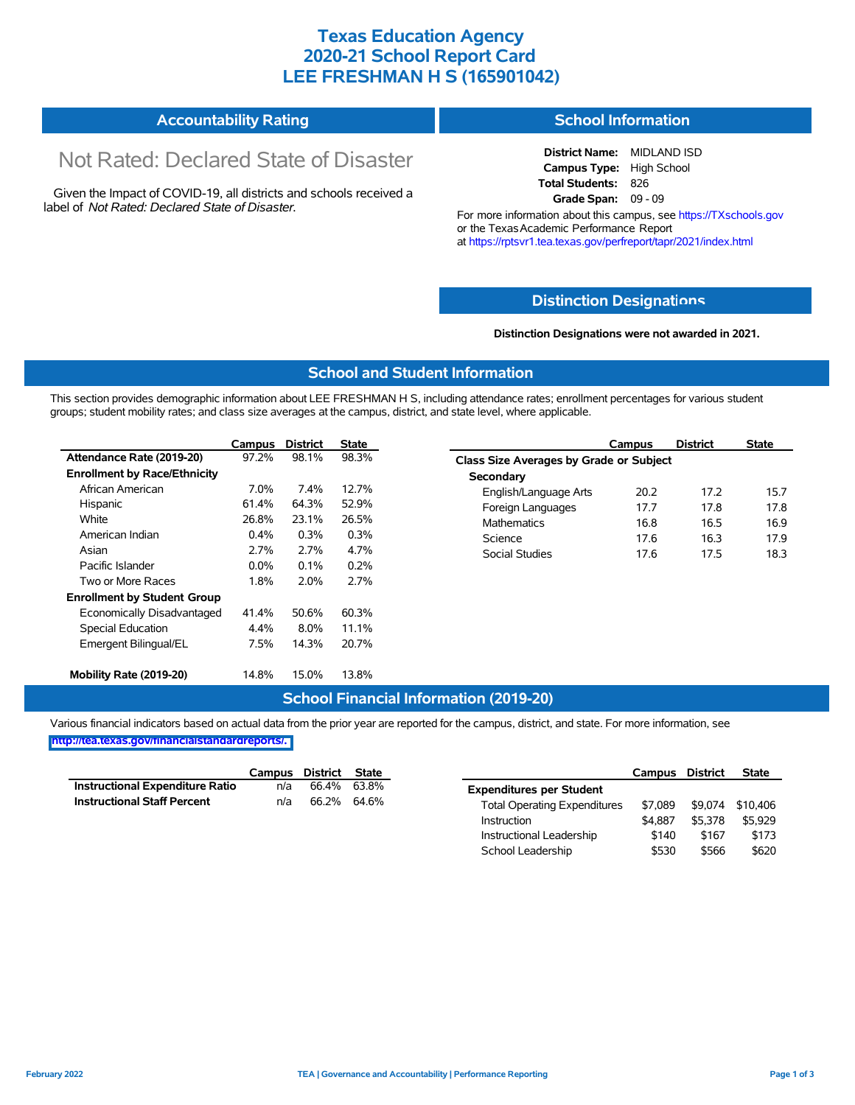### **Texas Education Agency 2020-21 School Report Card LEE FRESHMAN H S (165901042)**

#### **Accountability Rating School Information**

# Not Rated: Declared State of Disaster

Given the Impact of COVID-19, all districts and schools received a label of *Not Rated: Declared State of Disaster.*

**District Name:** MIDLAND ISD **Campus Type:** High School **Total Students:** 826 **Grade Span:** 09 - 09

For more information about this campus, see https://TXschools.gov or the Texas Academic Performance Report at https://rptsvr1.tea.texas.gov/perfreport/tapr/2021/index.html

#### **Distinction Designat[ions](https://TXschools.gov)**

**Distinction Designations were not awarded in 2021.**

School Leadership  $$530$  \$566 \$620

#### **School and Student Information**

This section provides demographic information about LEE FRESHMAN H S, including attendance rates; enrollment percentages for various student groups; student mobility rates; and class size averages at the campus, district, and state level, where applicable.

|                                     | Campus  | <b>District</b> | <b>State</b> | Campus                                         | <b>District</b> | <b>State</b> |  |  |  |  |  |
|-------------------------------------|---------|-----------------|--------------|------------------------------------------------|-----------------|--------------|--|--|--|--|--|
| Attendance Rate (2019-20)           | 97.2%   | 98.1%           | 98.3%        | <b>Class Size Averages by Grade or Subject</b> |                 |              |  |  |  |  |  |
| <b>Enrollment by Race/Ethnicity</b> |         |                 |              | Secondary                                      |                 |              |  |  |  |  |  |
| African American                    | 7.0%    | 7.4%            | 12.7%        | English/Language Arts<br>20.2                  | 17.2            |              |  |  |  |  |  |
| Hispanic                            | 61.4%   | 64.3%           | 52.9%        | Foreign Languages<br>17.7                      | 17.8            |              |  |  |  |  |  |
| White                               | 26.8%   | 23.1%           | 26.5%        | <b>Mathematics</b><br>16.8                     | 16.5            |              |  |  |  |  |  |
| American Indian                     | 0.4%    | 0.3%            | 0.3%         | Science<br>17.6                                | 16.3            |              |  |  |  |  |  |
| Asian                               | 2.7%    | 2.7%            | 4.7%         | <b>Social Studies</b><br>17.6                  | 17.5            |              |  |  |  |  |  |
| Pacific Islander                    | $0.0\%$ | 0.1%            | 0.2%         |                                                |                 |              |  |  |  |  |  |
| Two or More Races                   | 1.8%    | 2.0%            | 2.7%         |                                                |                 |              |  |  |  |  |  |
| <b>Enrollment by Student Group</b>  |         |                 |              |                                                |                 |              |  |  |  |  |  |
| Economically Disadvantaged          | 41.4%   | 50.6%           | 60.3%        |                                                |                 |              |  |  |  |  |  |
| Special Education                   | 4.4%    | 8.0%            | 11.1%        |                                                |                 |              |  |  |  |  |  |
| Emergent Bilingual/EL               | 7.5%    | 14.3%           | 20.7%        |                                                |                 |              |  |  |  |  |  |
| Mobility Rate (2019-20)             | 14.8%   | 15.0%           | 13.8%        |                                                |                 |              |  |  |  |  |  |

#### **School Financial Information (2019-20)**

Various financial indicators based on actual data from the prior year are reported for the campus, district, and state. For more information, see

**[http://tea.texas.gov/financialstandardreports/.](http://tea.texas.gov/financialstandardreports/)**

|                                        | Campus | District | <b>State</b> |                                     | Campus  | <b>District</b> | <b>State</b> |
|----------------------------------------|--------|----------|--------------|-------------------------------------|---------|-----------------|--------------|
| <b>Instructional Expenditure Ratio</b> | n/a    | 66.4%    | 63.8%        | <b>Expenditures per Student</b>     |         |                 |              |
| <b>Instructional Staff Percent</b>     | n/a    | 66.2%    | 64.6%        | <b>Total Operating Expenditures</b> | \$7.089 | \$9.074         | \$10.406     |
|                                        |        |          |              | Instruction                         | \$4,887 | \$5,378         | \$5,929      |
|                                        |        |          |              | Instructional Leadership            | \$140   | \$167           | \$173        |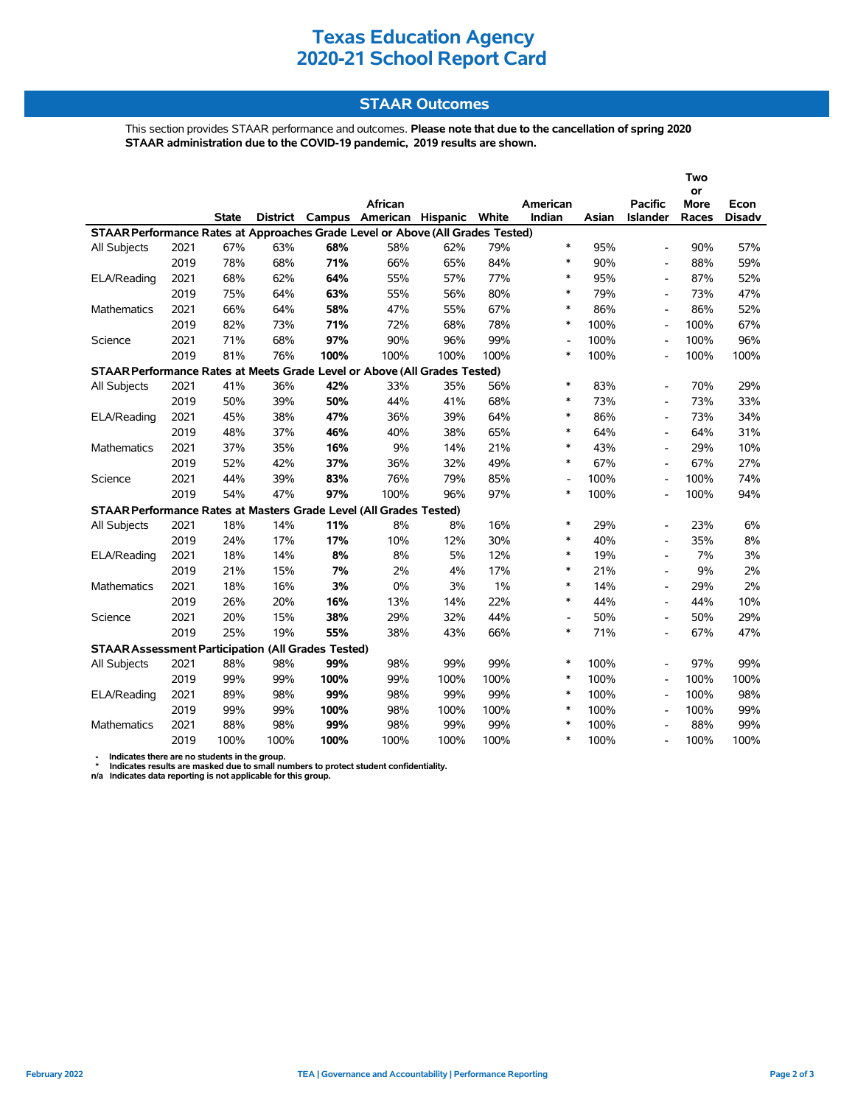### **Texas Education Agency 2020-21 School Report Card**

#### **STAAR Outcomes**

This section provides STAAR performance and outcomes. **Please note that due to the cancellation of spring 2020 STAAR administration due to the COVID-19 pandemic, 2019 results are shown.**

|                                                                                |      |              |      |      |                                         |      |       |                          |       | l WO<br>or               |       |               |  |
|--------------------------------------------------------------------------------|------|--------------|------|------|-----------------------------------------|------|-------|--------------------------|-------|--------------------------|-------|---------------|--|
|                                                                                |      |              |      |      | African                                 |      |       | American                 |       | <b>Pacific</b>           | More  | Econ          |  |
|                                                                                |      | <b>State</b> |      |      | District Campus American Hispanic White |      |       | Indian                   | Asian | Islander                 | Races | <b>Disadv</b> |  |
| STAAR Performance Rates at Approaches Grade Level or Above (All Grades Tested) |      |              |      |      |                                         |      |       |                          |       |                          |       |               |  |
| All Subjects                                                                   | 2021 | 67%          | 63%  | 68%  | 58%                                     | 62%  | 79%   | $\ast$                   | 95%   |                          | 90%   | 57%           |  |
|                                                                                | 2019 | 78%          | 68%  | 71%  | 66%                                     | 65%  | 84%   | $\ast$                   | 90%   | $\blacksquare$           | 88%   | 59%           |  |
| ELA/Reading                                                                    | 2021 | 68%          | 62%  | 64%  | 55%                                     | 57%  | 77%   | $\ast$                   | 95%   | $\overline{\phantom{a}}$ | 87%   | 52%           |  |
|                                                                                | 2019 | 75%          | 64%  | 63%  | 55%                                     | 56%  | 80%   | $\ast$                   | 79%   | $\overline{\phantom{a}}$ | 73%   | 47%           |  |
| Mathematics                                                                    | 2021 | 66%          | 64%  | 58%  | 47%                                     | 55%  | 67%   | $\ast$                   | 86%   | $\blacksquare$           | 86%   | 52%           |  |
|                                                                                | 2019 | 82%          | 73%  | 71%  | 72%                                     | 68%  | 78%   | ∗                        | 100%  | $\blacksquare$           | 100%  | 67%           |  |
| Science                                                                        | 2021 | 71%          | 68%  | 97%  | 90%                                     | 96%  | 99%   | $\overline{\phantom{a}}$ | 100%  |                          | 100%  | 96%           |  |
|                                                                                | 2019 | 81%          | 76%  | 100% | 100%                                    | 100% | 100%  | ∗                        | 100%  |                          | 100%  | 100%          |  |
| STAAR Performance Rates at Meets Grade Level or Above (All Grades Tested)      |      |              |      |      |                                         |      |       |                          |       |                          |       |               |  |
| All Subjects                                                                   | 2021 | 41%          | 36%  | 42%  | 33%                                     | 35%  | 56%   | $\ast$                   | 83%   | $\overline{\phantom{a}}$ | 70%   | 29%           |  |
|                                                                                | 2019 | 50%          | 39%  | 50%  | 44%                                     | 41%  | 68%   | $\ast$                   | 73%   | $\overline{\phantom{a}}$ | 73%   | 33%           |  |
| ELA/Reading                                                                    | 2021 | 45%          | 38%  | 47%  | 36%                                     | 39%  | 64%   | $\ast$                   | 86%   | $\blacksquare$           | 73%   | 34%           |  |
|                                                                                | 2019 | 48%          | 37%  | 46%  | 40%                                     | 38%  | 65%   | $\ast$                   | 64%   | $\overline{\phantom{0}}$ | 64%   | 31%           |  |
| Mathematics                                                                    | 2021 | 37%          | 35%  | 16%  | 9%                                      | 14%  | 21%   | $\ast$                   | 43%   | $\blacksquare$           | 29%   | 10%           |  |
|                                                                                | 2019 | 52%          | 42%  | 37%  | 36%                                     | 32%  | 49%   | ∗                        | 67%   | $\blacksquare$           | 67%   | 27%           |  |
| Science                                                                        | 2021 | 44%          | 39%  | 83%  | 76%                                     | 79%  | 85%   | $\overline{\phantom{a}}$ | 100%  | $\overline{\phantom{a}}$ | 100%  | 74%           |  |
|                                                                                | 2019 | 54%          | 47%  | 97%  | 100%                                    | 96%  | 97%   | $\ast$                   | 100%  | $\overline{\phantom{a}}$ | 100%  | 94%           |  |
| STAAR Performance Rates at Masters Grade Level (All Grades Tested)             |      |              |      |      |                                         |      |       |                          |       |                          |       |               |  |
| All Subjects                                                                   | 2021 | 18%          | 14%  | 11%  | 8%                                      | 8%   | 16%   | $\ast$                   | 29%   | $\blacksquare$           | 23%   | 6%            |  |
|                                                                                | 2019 | 24%          | 17%  | 17%  | 10%                                     | 12%  | 30%   | $\ast$                   | 40%   |                          | 35%   | 8%            |  |
| ELA/Reading                                                                    | 2021 | 18%          | 14%  | 8%   | 8%                                      | 5%   | 12%   | $\ast$                   | 19%   |                          | 7%    | 3%            |  |
|                                                                                | 2019 | 21%          | 15%  | 7%   | 2%                                      | 4%   | 17%   | $\ast$                   | 21%   | $\blacksquare$           | 9%    | 2%            |  |
| Mathematics                                                                    | 2021 | 18%          | 16%  | 3%   | 0%                                      | 3%   | $1\%$ | $\ast$                   | 14%   | $\blacksquare$           | 29%   | 2%            |  |
|                                                                                | 2019 | 26%          | 20%  | 16%  | 13%                                     | 14%  | 22%   | $\ast$                   | 44%   | $\blacksquare$           | 44%   | 10%           |  |
| Science                                                                        | 2021 | 20%          | 15%  | 38%  | 29%                                     | 32%  | 44%   | $\overline{\phantom{a}}$ | 50%   |                          | 50%   | 29%           |  |
|                                                                                | 2019 | 25%          | 19%  | 55%  | 38%                                     | 43%  | 66%   | $\ast$                   | 71%   | $\overline{\phantom{a}}$ | 67%   | 47%           |  |
| <b>STAAR Assessment Participation (All Grades Tested)</b>                      |      |              |      |      |                                         |      |       |                          |       |                          |       |               |  |
| All Subjects                                                                   | 2021 | 88%          | 98%  | 99%  | 98%                                     | 99%  | 99%   | $\ast$                   | 100%  | $\overline{\phantom{a}}$ | 97%   | 99%           |  |
|                                                                                | 2019 | 99%          | 99%  | 100% | 99%                                     | 100% | 100%  | $\ast$                   | 100%  | $\overline{\phantom{a}}$ | 100%  | 100%          |  |
| ELA/Reading                                                                    | 2021 | 89%          | 98%  | 99%  | 98%                                     | 99%  | 99%   | $\ast$                   | 100%  | $\overline{\phantom{a}}$ | 100%  | 98%           |  |
|                                                                                | 2019 | 99%          | 99%  | 100% | 98%                                     | 100% | 100%  | ∗                        | 100%  | $\blacksquare$           | 100%  | 99%           |  |
| <b>Mathematics</b>                                                             | 2021 | 88%          | 98%  | 99%  | 98%                                     | 99%  | 99%   | $\ast$                   | 100%  |                          | 88%   | 99%           |  |
|                                                                                | 2019 | 100%         | 100% | 100% | 100%                                    | 100% | 100%  | $\ast$                   | 100%  |                          | 100%  | 100%          |  |

- Indicates there are no students in the group.<br>\* Indicates results are masked due to small numbers to protect student confidentiality.<br>n/a Indicates data reporting is not applicable for this group.

**Two**